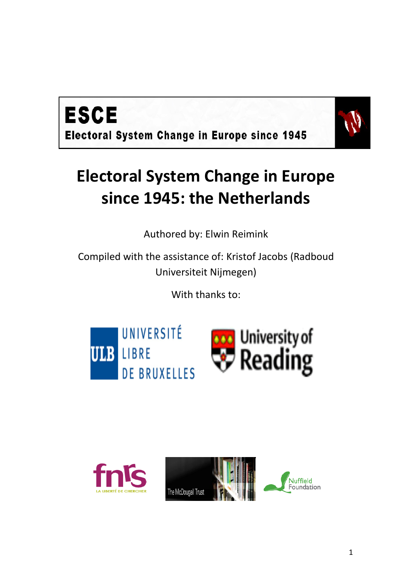



## **Electoral System Change in Europe since 1945: the Netherlands**

Authored by: Elwin Reimink

Compiled with the assistance of: Kristof Jacobs (Radboud Universiteit Nijmegen)

With thanks to:



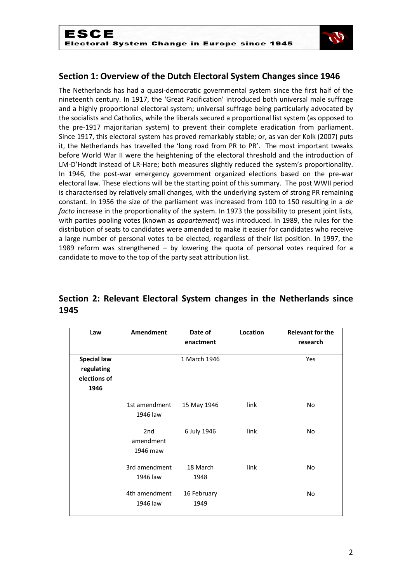

## **Section 1: Overview of the Dutch Electoral System Changes since 1946**

The Netherlands has had a quasi-democratic governmental system since the first half of the nineteenth century. In 1917, the 'Great Pacification' introduced both universal male suffrage and a highly proportional electoral system; universal suffrage being particularly advocated by the socialists and Catholics, while the liberals secured a proportional list system (as opposed to the pre-1917 majoritarian system) to prevent their complete eradication from parliament. Since 1917, this electoral system has proved remarkably stable; or, as van der Kolk (2007) puts it, the Netherlands has travelled the 'long road from PR to PR'. The most important tweaks before World War II were the heightening of the electoral threshold and the introduction of LM-D'Hondt instead of LR-Hare; both measures slightly reduced the system's proportionality. In 1946, the post-war emergency government organized elections based on the pre-war electoral law. These elections will be the starting point of this summary. The post WWII period is characterised by relatively small changes, with the underlying system of strong PR remaining constant. In 1956 the size of the parliament was increased from 100 to 150 resulting in a *de facto* increase in the proportionality of the system. In 1973 the possibility to present joint lists, with parties pooling votes (known as *appartement*) was introduced. In 1989, the rules for the distribution of seats to candidates were amended to make it easier for candidates who receive a large number of personal votes to be elected, regardless of their list position. In 1997, the 1989 reform was strengthened – by lowering the quota of personal votes required for a candidate to move to the top of the party seat attribution list.

## **Section 2: Relevant Electoral System changes in the Netherlands since 1945**

| Law                                                      | <b>Amendment</b>             | Date of<br>enactment | Location | <b>Relevant for the</b><br>research |
|----------------------------------------------------------|------------------------------|----------------------|----------|-------------------------------------|
| <b>Special law</b><br>regulating<br>elections of<br>1946 |                              | 1 March 1946         |          | Yes                                 |
|                                                          | 1st amendment<br>1946 law    | 15 May 1946          | link     | No                                  |
|                                                          | 2nd<br>amendment<br>1946 maw | 6 July 1946          | link     | No                                  |
|                                                          | 3rd amendment<br>1946 law    | 18 March<br>1948     | link     | No                                  |
|                                                          | 4th amendment<br>1946 law    | 16 February<br>1949  |          | No                                  |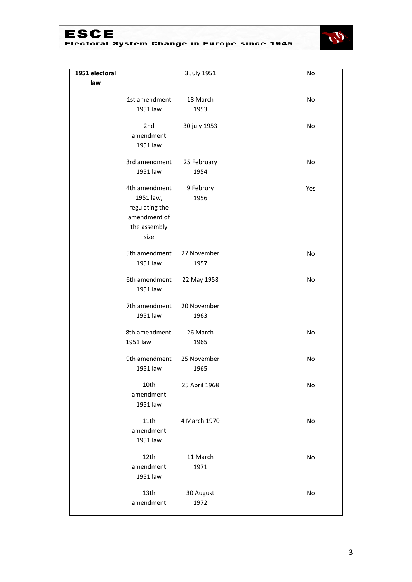# ESCE<br>Electoral System Change in Europe since 1945



| 1951 electoral |                | 3 July 1951   | No  |
|----------------|----------------|---------------|-----|
| law            |                |               |     |
|                | 1st amendment  | 18 March      | No  |
|                | 1951 law       | 1953          |     |
|                |                |               |     |
|                | 2nd            | 30 july 1953  | No  |
|                | amendment      |               |     |
|                | 1951 law       |               |     |
|                | 3rd amendment  | 25 February   | No  |
|                | 1951 law       | 1954          |     |
|                | 4th amendment  | 9 Februry     | Yes |
|                | 1951 law,      | 1956          |     |
|                | regulating the |               |     |
|                | amendment of   |               |     |
|                | the assembly   |               |     |
|                | size           |               |     |
|                | 5th amendment  | 27 November   | No  |
|                | 1951 law       | 1957          |     |
|                | 6th amendment  | 22 May 1958   | No  |
|                | 1951 law       |               |     |
|                |                |               |     |
|                | 7th amendment  | 20 November   |     |
|                | 1951 law       | 1963          |     |
|                | 8th amendment  | 26 March      | No  |
|                | 1951 law       | 1965          |     |
|                | 9th amendment  | 25 November   | No  |
|                | 1951 law       | 1965          |     |
|                |                |               |     |
|                | 10th           | 25 April 1968 | No  |
|                | amendment      |               |     |
|                | 1951 law       |               |     |
|                | 11th           | 4 March 1970  | No  |
|                | amendment      |               |     |
|                | 1951 law       |               |     |
|                | 12th           | 11 March      | No  |
|                | amendment      | 1971          |     |
|                | 1951 law       |               |     |
|                | 13th           | 30 August     | No  |
|                | amendment      | 1972          |     |
|                |                |               |     |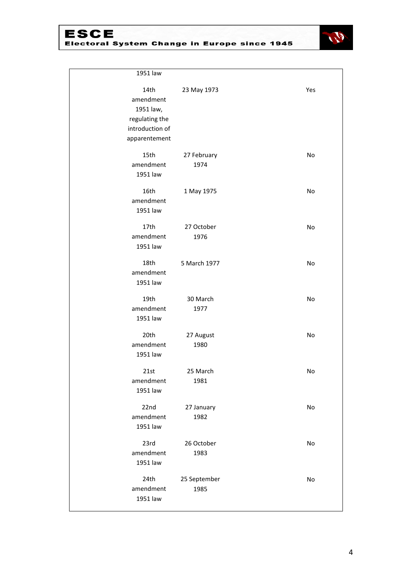## **ESCE** Electoral System Change in Europe since 1945



| 1951 law          |              |     |
|-------------------|--------------|-----|
|                   |              |     |
| 14th<br>amendment | 23 May 1973  | Yes |
| 1951 law,         |              |     |
| regulating the    |              |     |
| introduction of   |              |     |
| apparentement     |              |     |
| 15th              | 27 February  | No  |
| amendment         | 1974         |     |
| 1951 law          |              |     |
| 16th              | 1 May 1975   | No  |
| amendment         |              |     |
| 1951 law          |              |     |
| 17th              | 27 October   | No  |
| amendment         | 1976         |     |
| 1951 law          |              |     |
| 18th              | 5 March 1977 | No  |
| amendment         |              |     |
| 1951 law          |              |     |
| 19th              | 30 March     | No  |
| amendment         | 1977         |     |
| 1951 law          |              |     |
| 20th              | 27 August    | No  |
| amendment         | 1980         |     |
| 1951 law          |              |     |
| 21st              | 25 March     | No  |
| amendment         | 1981         |     |
| 1951 law          |              |     |
| 22nd              | 27 January   | No  |
| amendment         | 1982         |     |
| 1951 law          |              |     |
| 23rd              | 26 October   | No  |
| amendment         | 1983         |     |
| 1951 law          |              |     |
| 24th              | 25 September | No  |
| amendment         | 1985         |     |
| 1951 law          |              |     |
|                   |              |     |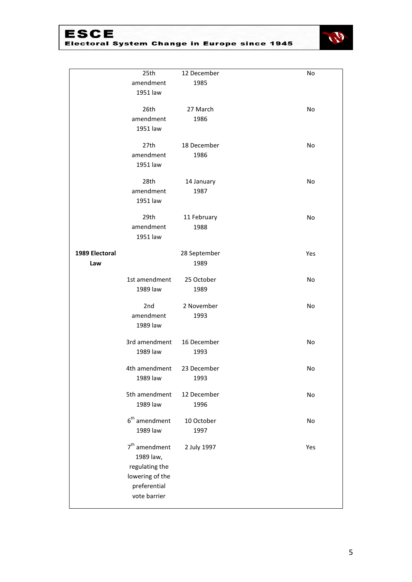# ESCE<br>Electoral System Change in Europe since 1945



|                | 25th            | 12 December  | No  |
|----------------|-----------------|--------------|-----|
|                | amendment       | 1985         |     |
|                |                 |              |     |
|                | 1951 law        |              |     |
|                | 26th            | 27 March     | No  |
|                | amendment       | 1986         |     |
|                | 1951 law        |              |     |
|                |                 |              |     |
|                | 27th            | 18 December  | No  |
|                | amendment       | 1986         |     |
|                | 1951 law        |              |     |
|                | 28th            | 14 January   | No  |
|                | amendment       | 1987         |     |
|                | 1951 law        |              |     |
|                |                 |              |     |
|                | 29th            | 11 February  | No  |
|                | amendment       | 1988         |     |
|                | 1951 law        |              |     |
| 1989 Electoral |                 | 28 September | Yes |
| Law            |                 | 1989         |     |
|                |                 |              |     |
|                | 1st amendment   | 25 October   | No  |
|                | 1989 law        | 1989         |     |
|                | 2nd             | 2 November   | No  |
|                | amendment       | 1993         |     |
|                |                 |              |     |
|                | 1989 law        |              |     |
|                | 3rd amendment   | 16 December  | No  |
|                | 1989 law        | 1993         |     |
|                |                 |              |     |
|                | 4th amendment   | 23 December  | No  |
|                | 1989 law        | 1993         |     |
|                | 5th amendment   | 12 December  | No  |
|                | 1989 law        | 1996         |     |
|                |                 |              |     |
|                | $6th$ amendment | 10 October   | No  |
|                | 1989 law        | 1997         |     |
|                | $7th$ amendment | 2 July 1997  | Yes |
|                | 1989 law,       |              |     |
|                | regulating the  |              |     |
|                | lowering of the |              |     |
|                | preferential    |              |     |
|                | vote barrier    |              |     |
|                |                 |              |     |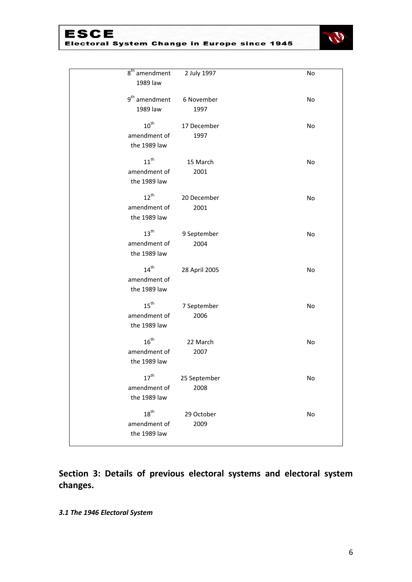

| $\overline{8}^{\text{th}}$ amendment<br>1989 law | 2 July 1997          | No |
|--------------------------------------------------|----------------------|----|
| 9 <sup>th</sup> amendment<br>1989 law            | 6 November<br>1997   | No |
| $10^{\text{th}}$<br>amendment of<br>the 1989 law | 17 December<br>1997  | No |
| $11^{\text{th}}$<br>amendment of<br>the 1989 law | 15 March<br>2001     | No |
| $12^{th}$<br>amendment of<br>the 1989 law        | 20 December<br>2001  | No |
| $13^{\text{th}}$<br>amendment of<br>the 1989 law | 9 September<br>2004  | No |
| $14^{th}$<br>amendment of<br>the 1989 law        | 28 April 2005        | No |
| $15^{\text{th}}$<br>amendment of<br>the 1989 law | 7 September<br>2006  | No |
| $16^{th}$<br>amendment of<br>the 1989 law        | 22 March<br>2007     | No |
| $17^{\text{th}}$<br>amendment of<br>the 1989 law | 25 September<br>2008 | No |
| $18^{\text{th}}$<br>amendment of<br>the 1989 law | 29 October<br>2009   | No |

**Section 3: Details of previous electoral systems and electoral system changes.** 

*3.1 The 1946 Electoral System*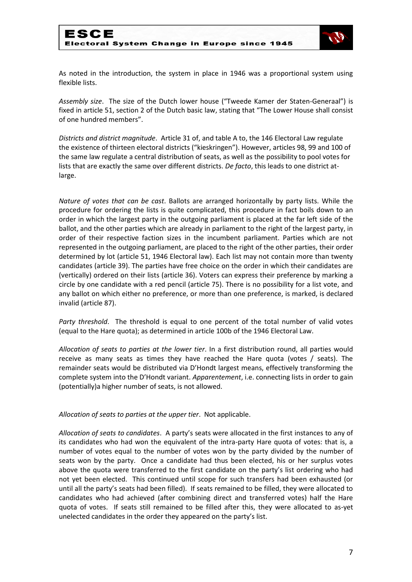

As noted in the introduction, the system in place in 1946 was a proportional system using flexible lists.

*Assembly size*. The size of the Dutch lower house ("Tweede Kamer der Staten-Generaal") is fixed in article 51, section 2 of the Dutch basic law, stating that "The Lower House shall consist of one hundred members".

*Districts and district magnitude*. Article 31 of, and table A to, the 146 Electoral Law regulate the existence of thirteen electoral districts ("kieskringen"). However, articles 98, 99 and 100 of the same law regulate a central distribution of seats, as well as the possibility to pool votes for lists that are exactly the same over different districts. *De facto*, this leads to one district atlarge.

*Nature of votes that can be cast*. Ballots are arranged horizontally by party lists. While the procedure for ordering the lists is quite complicated, this procedure in fact boils down to an order in which the largest party in the outgoing parliament is placed at the far left side of the ballot, and the other parties which are already in parliament to the right of the largest party, in order of their respective faction sizes in the incumbent parliament. Parties which are not represented in the outgoing parliament, are placed to the right of the other parties, their order determined by lot (article 51, 1946 Electoral law). Each list may not contain more than twenty candidates (article 39). The parties have free choice on the order in which their candidates are (vertically) ordered on their lists (article 36). Voters can express their preference by marking a circle by one candidate with a red pencil (article 75). There is no possibility for a list vote, and any ballot on which either no preference, or more than one preference, is marked, is declared invalid (article 87).

*Party threshold*. The threshold is equal to one percent of the total number of valid votes (equal to the Hare quota); as determined in article 100b of the 1946 Electoral Law.

*Allocation of seats to parties at the lower tier*. In a first distribution round, all parties would receive as many seats as times they have reached the Hare quota (votes / seats). The remainder seats would be distributed via D'Hondt largest means, effectively transforming the complete system into the D'Hondt variant. *Apparentement*, i.e. connecting lists in order to gain (potentially)a higher number of seats, is not allowed.

*Allocation of seats to parties at the upper tier*. Not applicable.

*Allocation of seats to candidates*. A party's seats were allocated in the first instances to any of its candidates who had won the equivalent of the intra-party Hare quota of votes: that is, a number of votes equal to the number of votes won by the party divided by the number of seats won by the party. Once a candidate had thus been elected, his or her surplus votes above the quota were transferred to the first candidate on the party's list ordering who had not yet been elected. This continued until scope for such transfers had been exhausted (or until all the party's seats had been filled). If seats remained to be filled, they were allocated to candidates who had achieved (after combining direct and transferred votes) half the Hare quota of votes. If seats still remained to be filled after this, they were allocated to as-yet unelected candidates in the order they appeared on the party's list.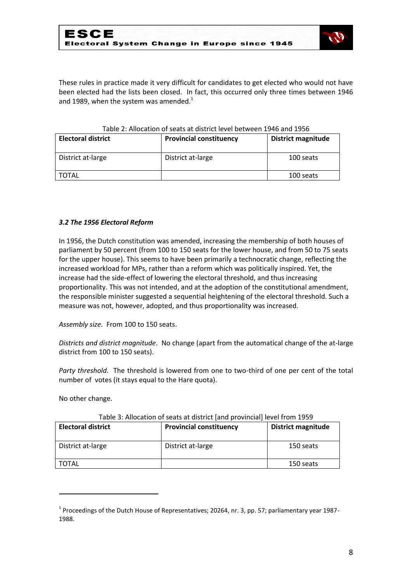

These rules in practice made it very difficult for candidates to get elected who would not have been elected had the lists been closed. In fact, this occurred only three times between 1946 and 1989, when the system was amended. $1$ 

| <b>Electoral district</b> | <b>Provincial constituency</b> | <b>District magnitude</b> |
|---------------------------|--------------------------------|---------------------------|
| District at-large         | District at-large              | 100 seats                 |
| <b>TOTAL</b>              |                                | 100 seats                 |

#### Table 2: Allocation of seats at district level between 1946 and 1956

#### *3.2 The 1956 Electoral Reform*

In 1956, the Dutch constitution was amended, increasing the membership of both houses of parliament by 50 percent (from 100 to 150 seats for the lower house, and from 50 to 75 seats for the upper house). This seems to have been primarily a technocratic change, reflecting the increased workload for MPs, rather than a reform which was politically inspired. Yet, the increase had the side-effect of lowering the electoral threshold, and thus increasing proportionality. This was not intended, and at the adoption of the constitutional amendment, the responsible minister suggested a sequential heightening of the electoral threshold. Such a measure was not, however, adopted, and thus proportionality was increased.

*Assembly size*. From 100 to 150 seats.

*Districts and district magnitude*. No change (apart from the automatical change of the at-large district from 100 to 150 seats).

*Party threshold*. The threshold is lowered from one to two-third of one per cent of the total number of votes (it stays equal to the Hare quota).

No other change.

**.** 

| <b>Electoral district</b> | <b>Provincial constituency</b> | <b>District magnitude</b> |
|---------------------------|--------------------------------|---------------------------|
| District at-large         | District at-large              | 150 seats                 |
| <b>TOTAL</b>              |                                | 150 seats                 |

#### Table 3: Allocation of seats at district [and provincial] level from 1959

 $<sup>1</sup>$  Proceedings of the Dutch House of Representatives; 20264, nr. 3, pp. 57; parliamentary year 1987-</sup> 1988.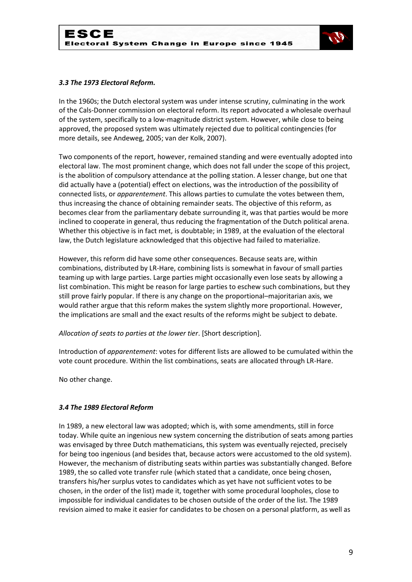

#### *3.3 The 1973 Electoral Reform.*

In the 1960s; the Dutch electoral system was under intense scrutiny, culminating in the work of the Cals-Donner commission on electoral reform. Its report advocated a wholesale overhaul of the system, specifically to a low-magnitude district system. However, while close to being approved, the proposed system was ultimately rejected due to political contingencies (for more details, see Andeweg, 2005; van der Kolk, 2007).

Two components of the report, however, remained standing and were eventually adopted into electoral law. The most prominent change, which does not fall under the scope of this project, is the abolition of compulsory attendance at the polling station. A lesser change, but one that did actually have a (potential) effect on elections, was the introduction of the possibility of connected lists, or *apparentement*. This allows parties to cumulate the votes between them, thus increasing the chance of obtaining remainder seats. The objective of this reform, as becomes clear from the parliamentary debate surrounding it, was that parties would be more inclined to cooperate in general, thus reducing the fragmentation of the Dutch political arena. Whether this objective is in fact met, is doubtable; in 1989, at the evaluation of the electoral law, the Dutch legislature acknowledged that this objective had failed to materialize.

However, this reform did have some other consequences. Because seats are, within combinations, distributed by LR-Hare, combining lists is somewhat in favour of small parties teaming up with large parties. Large parties might occasionally even lose seats by allowing a list combination. This might be reason for large parties to eschew such combinations, but they still prove fairly popular. If there is any change on the proportional–majoritarian axis, we would rather argue that this reform makes the system slightly more proportional. However, the implications are small and the exact results of the reforms might be subject to debate.

*Allocation of seats to parties at the lower tier*. [Short description].

Introduction of *apparentement*: votes for different lists are allowed to be cumulated within the vote count procedure. Within the list combinations, seats are allocated through LR-Hare.

No other change.

#### *3.4 The 1989 Electoral Reform*

In 1989, a new electoral law was adopted; which is, with some amendments, still in force today. While quite an ingenious new system concerning the distribution of seats among parties was envisaged by three Dutch mathematicians, this system was eventually rejected, precisely for being too ingenious (and besides that, because actors were accustomed to the old system). However, the mechanism of distributing seats within parties was substantially changed. Before 1989, the so called vote transfer rule (which stated that a candidate, once being chosen, transfers his/her surplus votes to candidates which as yet have not sufficient votes to be chosen, in the order of the list) made it, together with some procedural loopholes, close to impossible for individual candidates to be chosen outside of the order of the list. The 1989 revision aimed to make it easier for candidates to be chosen on a personal platform, as well as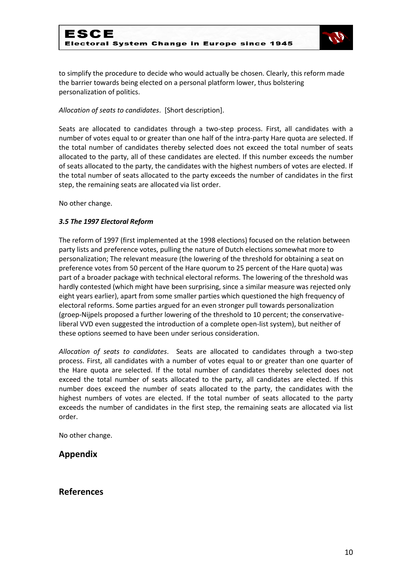

to simplify the procedure to decide who would actually be chosen. Clearly, this reform made the barrier towards being elected on a personal platform lower, thus bolstering personalization of politics.

*Allocation of seats to candidates*. [Short description].

Seats are allocated to candidates through a two-step process. First, all candidates with a number of votes equal to or greater than one half of the intra-party Hare quota are selected. If the total number of candidates thereby selected does not exceed the total number of seats allocated to the party, all of these candidates are elected. If this number exceeds the number of seats allocated to the party, the candidates with the highest numbers of votes are elected. If the total number of seats allocated to the party exceeds the number of candidates in the first step, the remaining seats are allocated via list order.

No other change.

#### *3.5 The 1997 Electoral Reform*

The reform of 1997 (first implemented at the 1998 elections) focused on the relation between party lists and preference votes, pulling the nature of Dutch elections somewhat more to personalization; The relevant measure (the lowering of the threshold for obtaining a seat on preference votes from 50 percent of the Hare quorum to 25 percent of the Hare quota) was part of a broader package with technical electoral reforms. The lowering of the threshold was hardly contested (which might have been surprising, since a similar measure was rejected only eight years earlier), apart from some smaller parties which questioned the high frequency of electoral reforms. Some parties argued for an even stronger pull towards personalization (groep-Nijpels proposed a further lowering of the threshold to 10 percent; the conservativeliberal VVD even suggested the introduction of a complete open-list system), but neither of these options seemed to have been under serious consideration.

*Allocation of seats to candidates*. Seats are allocated to candidates through a two-step process. First, all candidates with a number of votes equal to or greater than one quarter of the Hare quota are selected. If the total number of candidates thereby selected does not exceed the total number of seats allocated to the party, all candidates are elected. If this number does exceed the number of seats allocated to the party, the candidates with the highest numbers of votes are elected. If the total number of seats allocated to the party exceeds the number of candidates in the first step, the remaining seats are allocated via list order.

No other change.

### **Appendix**

### **References**